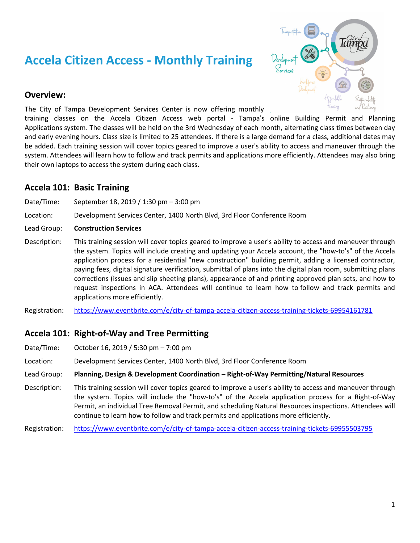## **Accela Citizen Access - Monthly Training**



#### **Overview:**

The City of Tampa Development Services Center is now offering monthly

training classes on the Accela Citizen Access web portal - Tampa's online Building Permit and Planning Applications system. The classes will be held on the 3rd Wednesday of each month, alternating class times between day and early evening hours. Class size is limited to 25 attendees. If there is a large demand for a class, additional dates may be added. Each training session will cover topics geared to improve a user's ability to access and maneuver through the system. Attendees will learn how to follow and track permits and applications more efficiently. Attendees may also bring their own laptops to access the system during each class.

## **Accela 101: Basic Training**

Date/Time: September 18, 2019 / 1:30 pm – 3:00 pm

Location: Development Services Center, 1400 North Blvd, 3rd Floor Conference Room

#### Lead Group: **Construction Services**

Description: This training session will cover topics geared to improve a user's ability to access and maneuver through the system. Topics will include creating and updating your Accela account, the "how-to's" of the Accela application process for a residential "new construction" building permit, adding a licensed contractor, paying fees, digital signature verification, submittal of plans into the digital plan room, submitting plans corrections (issues and slip sheeting plans), appearance of and printing approved plan sets, and how to request inspections in ACA. Attendees will continue to learn how to follow and track permits and applications more efficiently.

Registration: <https://www.eventbrite.com/e/city-of-tampa-accela-citizen-access-training-tickets-69954161781>

## **Accela 101: Right-of-Way and Tree Permitting**

Date/Time: October 16, 2019 / 5:30 pm – 7:00 pm

Location: Development Services Center, 1400 North Blvd, 3rd Floor Conference Room

#### Lead Group: **Planning, Design & Development Coordination – Right-of-Way Permitting/Natural Resources**

Description: This training session will cover topics geared to improve a user's ability to access and maneuver through the system. Topics will include the "how-to's" of the Accela application process for a Right-of-Way Permit, an individual Tree Removal Permit, and scheduling Natural Resources inspections. Attendees will continue to learn how to follow and track permits and applications more efficiently.

Registration: <https://www.eventbrite.com/e/city-of-tampa-accela-citizen-access-training-tickets-69955503795>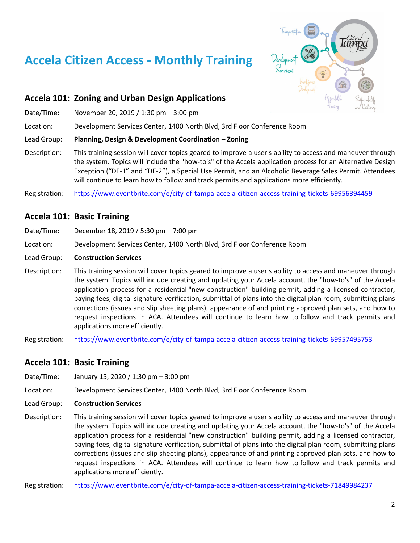## **Accela Citizen Access - Monthly Training**



## **Accela 101: Zoning and Urban Design Applications**

Date/Time: November 20, 2019 / 1:30 pm – 3:00 pm

Location: Development Services Center, 1400 North Blvd, 3rd Floor Conference Room

#### Lead Group: **Planning, Design & Development Coordination – Zoning**

Description: This training session will cover topics geared to improve a user's ability to access and maneuver through the system. Topics will include the "how-to's" of the Accela application process for an Alternative Design Exception ("DE-1" and "DE-2"), a Special Use Permit, and an Alcoholic Beverage Sales Permit. Attendees will continue to learn how to follow and track permits and applications more efficiently.

Registration: <https://www.eventbrite.com/e/city-of-tampa-accela-citizen-access-training-tickets-69956394459>

### **Accela 101: Basic Training**

- Date/Time: December 18, 2019 / 5:30 pm 7:00 pm
- Location: Development Services Center, 1400 North Blvd, 3rd Floor Conference Room

#### Lead Group: **Construction Services**

- Description: This training session will cover topics geared to improve a user's ability to access and maneuver through the system. Topics will include creating and updating your Accela account, the "how-to's" of the Accela application process for a residential "new construction" building permit, adding a licensed contractor, paying fees, digital signature verification, submittal of plans into the digital plan room, submitting plans corrections (issues and slip sheeting plans), appearance of and printing approved plan sets, and how to request inspections in ACA. Attendees will continue to learn how to follow and track permits and applications more efficiently.
- Registration: <https://www.eventbrite.com/e/city-of-tampa-accela-citizen-access-training-tickets-69957495753>

### **Accela 101: Basic Training**

Date/Time: January 15, 2020 / 1:30 pm – 3:00 pm

Location: Development Services Center, 1400 North Blvd, 3rd Floor Conference Room

- Lead Group: **Construction Services**
- Description: This training session will cover topics geared to improve a user's ability to access and maneuver through the system. Topics will include creating and updating your Accela account, the "how-to's" of the Accela application process for a residential "new construction" building permit, adding a licensed contractor, paying fees, digital signature verification, submittal of plans into the digital plan room, submitting plans corrections (issues and slip sheeting plans), appearance of and printing approved plan sets, and how to request inspections in ACA. Attendees will continue to learn how to follow and track permits and applications more efficiently.
- Registration: <https://www.eventbrite.com/e/city-of-tampa-accela-citizen-access-training-tickets-71849984237>